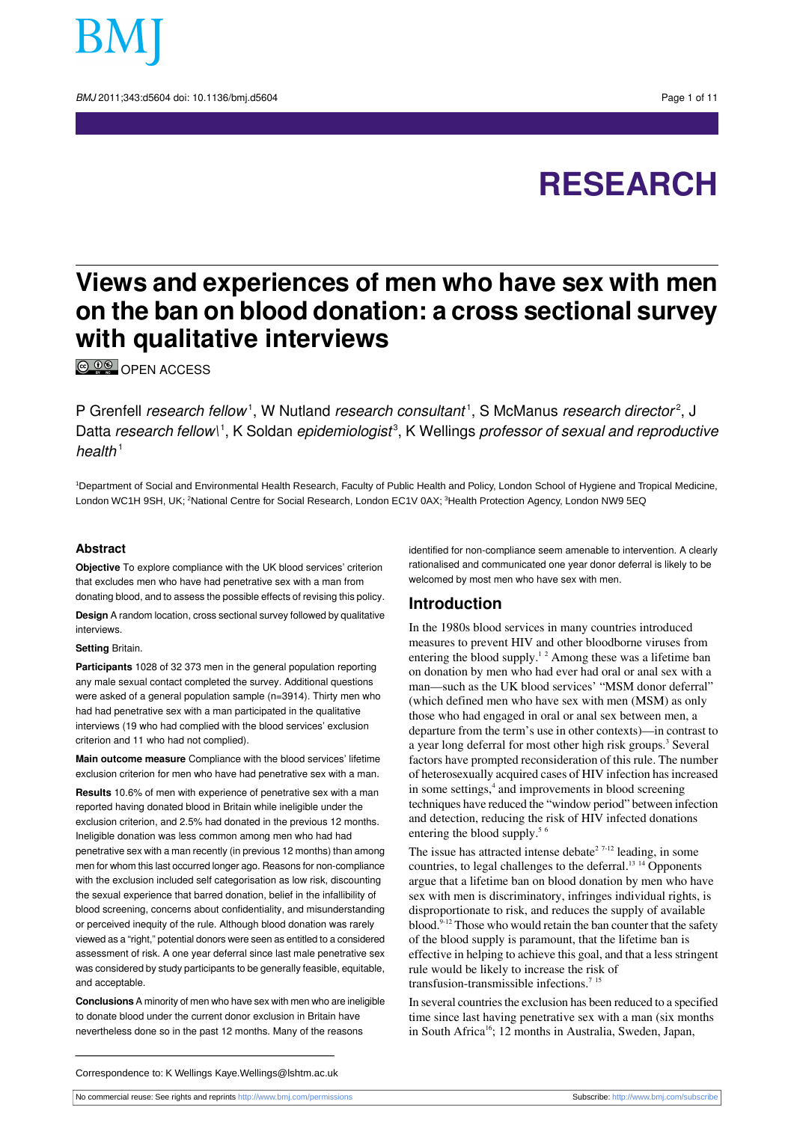

BMJ 2011:343:d5604 doi: 10.1136/bmi.d5604 Page 1 of 11

# **RESEARCH**

## **Views and experiences of men who have sex with men on the ban on blood donation: a cross sectional survey with qualitative interviews**

**© PE OPEN ACCESS** 

P Grenfell *research fellow*<sup>1</sup>, W Nutland *research consultant*<sup>1</sup>, S McManus *research director<sup>2</sup>,* J Datta *research fellow\'* , K Soldan *epidemiologist<sup>3</sup>*, K Wellings *professor of sexual and reproductive* health $1$ 

<sup>1</sup>Department of Social and Environmental Health Research, Faculty of Public Health and Policy, London School of Hygiene and Tropical Medicine, London WC1H 9SH, UK; <sup>2</sup>National Centre for Social Research, London EC1V 0AX; <sup>3</sup>Health Protection Agency, London NW9 5EQ

#### **Abstract**

**Objective** To explore compliance with the UK blood services' criterion that excludes men who have had penetrative sex with a man from donating blood, and to assess the possible effects of revising this policy.

**Design** A random location, cross sectional survey followed by qualitative interviews.

#### **Setting** Britain.

**Participants** 1028 of 32 373 men in the general population reporting any male sexual contact completed the survey. Additional questions were asked of a general population sample (n=3914). Thirty men who had had penetrative sex with a man participated in the qualitative interviews (19 who had complied with the blood services' exclusion criterion and 11 who had not complied).

**Main outcome measure** Compliance with the blood services' lifetime exclusion criterion for men who have had penetrative sex with a man.

**Results** 10.6% of men with experience of penetrative sex with a man reported having donated blood in Britain while ineligible under the exclusion criterion, and 2.5% had donated in the previous 12 months. Ineligible donation was less common among men who had had penetrative sex with a man recently (in previous 12 months) than among men for whom this last occurred longer ago. Reasons for non-compliance with the exclusion included self categorisation as low risk, discounting the sexual experience that barred donation, belief in the infallibility of blood screening, concerns about confidentiality, and misunderstanding or perceived inequity of the rule. Although blood donation was rarely viewed as a "right," potential donors were seen as entitled to a considered assessment of risk. A one year deferral since last male penetrative sex was considered by study participants to be generally feasible, equitable, and acceptable.

**Conclusions** A minority of men who have sex with men who are ineligible to donate blood under the current donor exclusion in Britain have nevertheless done so in the past 12 months. Many of the reasons

identified for non-compliance seem amenable to intervention. A clearly rationalised and communicated one year donor deferral is likely to be welcomed by most men who have sex with men.

## **Introduction**

In the 1980s blood services in many countries introduced measures to prevent HIV and other bloodborne viruses from entering the blood supply.<sup>12</sup> Among these was a lifetime ban on donation by men who had ever had oral or anal sex with a man—such as the UK blood services' "MSM donor deferral" (which defined men who have sex with men (MSM) as only those who had engaged in oral or anal sex between men, a departure from the term's use in other contexts)—in contrast to a year long deferral for most other high risk groups.<sup>3</sup> Several factors have prompted reconsideration of this rule. The number of heterosexually acquired cases of HIV infection has increased in some settings,<sup>4</sup> and improvements in blood screening techniques have reduced the "window period" between infection and detection, reducing the risk of HIV infected donations entering the blood supply.<sup>5 6</sup>

The issue has attracted intense debate<sup>2 7-12</sup> leading, in some countries, to legal challenges to the deferral.<sup>13 14</sup> Opponents argue that a lifetime ban on blood donation by men who have sex with men is discriminatory, infringes individual rights, is disproportionate to risk, and reduces the supply of available  $b$ lood.<sup>9-12</sup> Those who would retain the ban counter that the safety of the blood supply is paramount, that the lifetime ban is effective in helping to achieve this goal, and that a less stringent rule would be likely to increase the risk of transfusion-transmissible infections.<sup>715</sup>

In several countries the exclusion has been reduced to a specified time since last having penetrative sex with a man (six months in South Africa<sup>16</sup>; 12 months in Australia, Sweden, Japan,

Correspondence to: K Wellings Kaye.Wellings@lshtm.ac.uk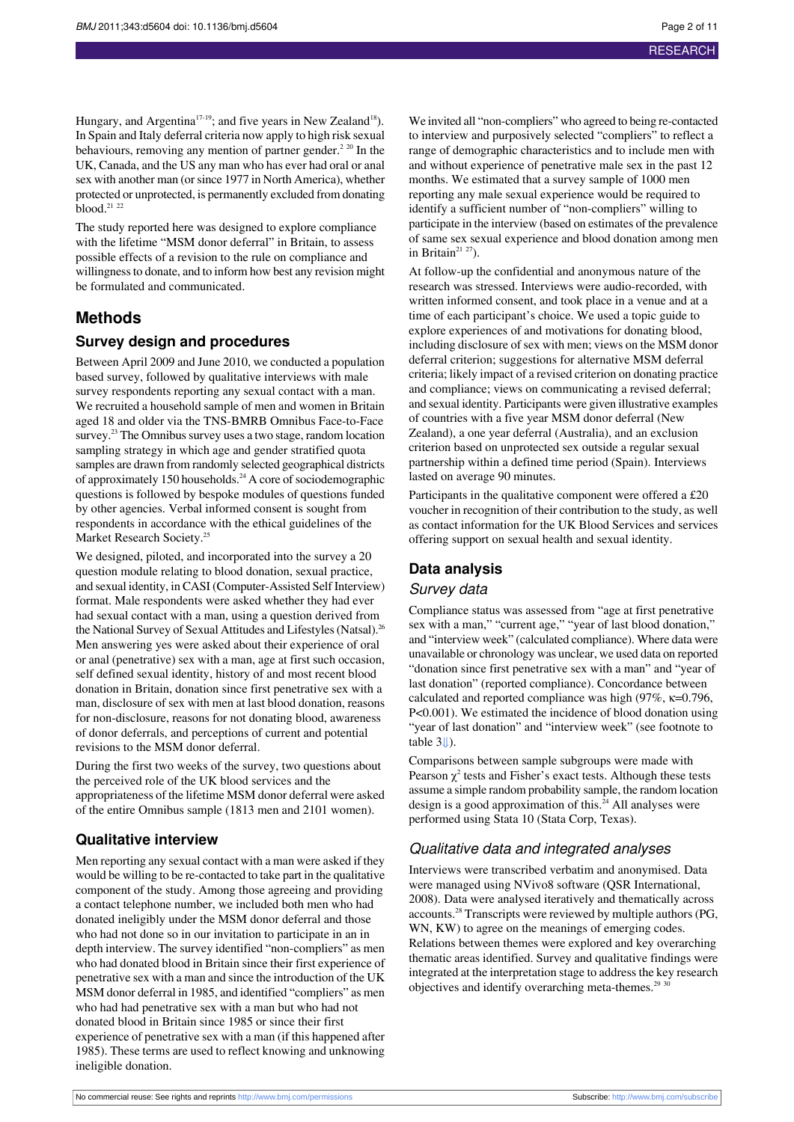Hungary, and Argentina<sup>17-19</sup>; and five years in New Zealand<sup>18</sup>). In Spain and Italy deferral criteria now apply to high risk sexual behaviours, removing any mention of partner gender.<sup>2 20</sup> In the UK, Canada, and the US any man who has ever had oral or anal sex with another man (or since 1977 in North America), whether protected or unprotected, is permanently excluded from donating blood.<sup>21</sup> <sup>22</sup>

The study reported here was designed to explore compliance with the lifetime "MSM donor deferral" in Britain, to assess possible effects of a revision to the rule on compliance and willingness to donate, and to inform how best any revision might be formulated and communicated.

## **Methods**

#### **Survey design and procedures**

Between April 2009 and June 2010, we conducted a population based survey, followed by qualitative interviews with male survey respondents reporting any sexual contact with a man. We recruited a household sample of men and women in Britain aged 18 and older via the TNS-BMRB Omnibus Face-to-Face survey.<sup>23</sup> The Omnibus survey uses a two stage, random location sampling strategy in which age and gender stratified quota samples are drawn from randomly selected geographical districts of approximately 150 households.<sup>24</sup> A core of sociodemographic questions is followed by bespoke modules of questions funded by other agencies. Verbal informed consent is sought from respondents in accordance with the ethical guidelines of the Market Research Society.<sup>25</sup>

We designed, piloted, and incorporated into the survey a 20 question module relating to blood donation, sexual practice, and sexual identity, in CASI (Computer-Assisted Self Interview) format. Male respondents were asked whether they had ever had sexual contact with a man, using a question derived from the National Survey of Sexual Attitudes and Lifestyles (Natsal).<sup>26</sup> Men answering yes were asked about their experience of oral or anal (penetrative) sex with a man, age at first such occasion, self defined sexual identity, history of and most recent blood donation in Britain, donation since first penetrative sex with a man, disclosure of sex with men at last blood donation, reasons for non-disclosure, reasons for not donating blood, awareness of donor deferrals, and perceptions of current and potential revisions to the MSM donor deferral.

During the first two weeks of the survey, two questions about the perceived role of the UK blood services and the appropriateness of the lifetime MSM donor deferral were asked of the entire Omnibus sample (1813 men and 2101 women).

#### **Qualitative interview**

Men reporting any sexual contact with a man were asked if they would be willing to be re-contacted to take part in the qualitative component of the study. Among those agreeing and providing a contact telephone number, we included both men who had donated ineligibly under the MSM donor deferral and those who had not done so in our invitation to participate in an in depth interview. The survey identified "non-compliers" as men who had donated blood in Britain since their first experience of penetrative sex with a man and since the introduction of the UK MSM donor deferral in 1985, and identified "compliers" as men who had had penetrative sex with a man but who had not donated blood in Britain since 1985 or since their first experience of penetrative sex with a man (if this happened after 1985). These terms are used to reflect knowing and unknowing ineligible donation.

We invited all "non-compliers" who agreed to being re-contacted to interview and purposively selected "compliers" to reflect a range of demographic characteristics and to include men with and without experience of penetrative male sex in the past 12 months. We estimated that a survey sample of 1000 men reporting any male sexual experience would be required to identify a sufficient number of "non-compliers" willing to participate in the interview (based on estimates of the prevalence of same sex sexual experience and blood donation among men in Britain<sup>21 27</sup>).

At follow-up the confidential and anonymous nature of the research was stressed. Interviews were audio-recorded, with written informed consent, and took place in a venue and at a time of each participant's choice. We used a topic guide to explore experiences of and motivations for donating blood, including disclosure of sex with men; views on the MSM donor deferral criterion; suggestions for alternative MSM deferral criteria; likely impact of a revised criterion on donating practice and compliance; views on communicating a revised deferral; and sexual identity. Participants were given illustrative examples of countries with a five year MSM donor deferral (New Zealand), a one year deferral (Australia), and an exclusion criterion based on unprotected sex outside a regular sexual partnership within a defined time period (Spain). Interviews lasted on average 90 minutes.

Participants in the qualitative component were offered a £20 voucher in recognition of their contribution to the study, as well as contact information for the UK Blood Services and services offering support on sexual health and sexual identity.

## **Data analysis** Survey data

Compliance status was assessed from "age at first penetrative sex with a man," "current age," "year of last blood donation," and "interview week" (calculated compliance). Where data were unavailable or chronology was unclear, we used data on reported "donation since first penetrative sex with a man" and "year of last donation" (reported compliance). Concordance between calculated and reported compliance was high (97%, κ=0.796, P<0.001). We estimated the incidence of blood donation using "year of last donation" and "interview week" (see footnote to table 3[⇓\)](#page-8-0).

Comparisons between sample subgroups were made with Pearson  $\chi^2$  tests and Fisher's exact tests. Although these tests assume a simple random probability sample, the random location design is a good approximation of this. $24$  All analyses were performed using Stata 10 (Stata Corp, Texas).

#### Qualitative data and integrated analyses

Interviews were transcribed verbatim and anonymised. Data were managed using NVivo8 software (QSR International, 2008). Data were analysed iteratively and thematically across accounts.<sup>28</sup> Transcripts were reviewed by multiple authors (PG, WN, KW) to agree on the meanings of emerging codes. Relations between themes were explored and key overarching thematic areas identified. Survey and qualitative findings were integrated at the interpretation stage to address the key research objectives and identify overarching meta-themes. $29$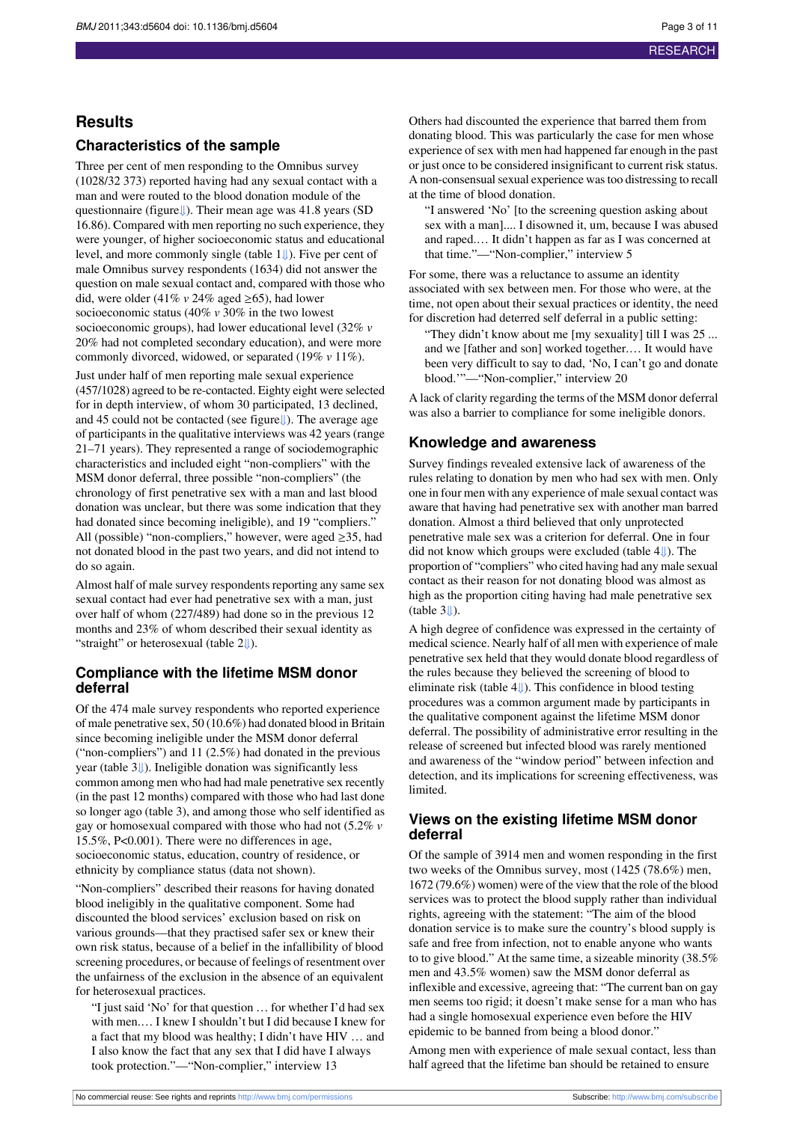## **Results**

## **Characteristics of the sample**

Three per cent of men responding to the Omnibus survey (1028/32 373) reported having had any sexual contact with a man and were routed to the blood donation module of the questionnaire (figur[e⇓\)](#page-10-0). Their mean age was 41.8 years (SD 16.86). Compared with men reporting no such experience, they were younger, of higher socioeconomic status and educational level, and more commonly single (table [1⇓](#page-6-0)). Five per cent of male Omnibus survey respondents (1634) did not answer the question on male sexual contact and, compared with those who did, were older (41%  $v$  24% aged  $\geq$ 65), had lower socioeconomic status (40% *v* 30% in the two lowest socioeconomic groups), had lower educational level (32% *v* 20% had not completed secondary education), and were more commonly divorced, widowed, or separated (19% *v* 11%).

Just under half of men reporting male sexual experience (457/1028) agreed to be re-contacted. Eighty eight were selected for in depth interview, of whom 30 participated, 13 declined, and 45 could not be contacted (see figure[⇓\)](#page-10-0). The average age of participants in the qualitative interviews was 42 years (range 21–71 years). They represented a range of sociodemographic characteristics and included eight "non-compliers" with the MSM donor deferral, three possible "non-compliers" (the chronology of first penetrative sex with a man and last blood donation was unclear, but there was some indication that they had donated since becoming ineligible), and 19 "compliers." All (possible) "non-compliers," however, were aged  $\geq$ 35, had not donated blood in the past two years, and did not intend to do so again.

Almost half of male survey respondents reporting any same sex sexual contact had ever had penetrative sex with a man, just over half of whom (227/489) had done so in the previous 12 months and 23% of whom described their sexual identity as "straight" or heterosexual (table 2[⇓\)](#page-7-0).

### **Compliance with the lifetime MSM donor deferral**

Of the 474 male survey respondents who reported experience of male penetrative sex, 50 (10.6%) had donated blood in Britain since becoming ineligible under the MSM donor deferral ("non-compliers") and 11 (2.5%) had donated in the previous year (table [3⇓](#page-8-0)). Ineligible donation was significantly less common among men who had had male penetrative sex recently (in the past 12 months) compared with those who had last done so longer ago (table 3), and among those who self identified as gay or homosexual compared with those who had not (5.2% *v* 15.5%, P<0.001). There were no differences in age, socioeconomic status, education, country of residence, or ethnicity by compliance status (data not shown).

"Non-compliers" described their reasons for having donated blood ineligibly in the qualitative component. Some had discounted the blood services' exclusion based on risk on various grounds—that they practised safer sex or knew their own risk status, because of a belief in the infallibility of blood screening procedures, or because of feelings of resentment over the unfairness of the exclusion in the absence of an equivalent for heterosexual practices.

"I just said 'No' for that question … for whether I'd had sex with men.… I knew I shouldn't but I did because I knew for a fact that my blood was healthy; I didn't have HIV … and I also know the fact that any sex that I did have I always took protection."—"Non-complier," interview 13

Others had discounted the experience that barred them from donating blood. This was particularly the case for men whose experience of sex with men had happened far enough in the past or just once to be considered insignificant to current risk status. A non-consensual sexual experience was too distressing to recall at the time of blood donation.

"I answered 'No' [to the screening question asking about sex with a man].... I disowned it, um, because I was abused and raped.… It didn't happen as far as I was concerned at that time."—"Non-complier," interview 5

For some, there was a reluctance to assume an identity associated with sex between men. For those who were, at the time, not open about their sexual practices or identity, the need for discretion had deterred self deferral in a public setting:

"They didn't know about me [my sexuality] till I was 25 ... and we [father and son] worked together.… It would have been very difficult to say to dad, 'No, I can't go and donate blood.'"—"Non-complier," interview 20

A lack of clarity regarding the terms of the MSM donor deferral was also a barrier to compliance for some ineligible donors.

## **Knowledge and awareness**

Survey findings revealed extensive lack of awareness of the rules relating to donation by men who had sex with men. Only one in four men with any experience of male sexual contact was aware that having had penetrative sex with another man barred donation. Almost a third believed that only unprotected penetrative male sex was a criterion for deferral. One in four did not know which groups were excluded (table [4⇓](#page-9-0)). The proportion of "compliers" who cited having had any male sexual contact as their reason for not donating blood was almost as high as the proportion citing having had male penetrative sex  $(table 3||)$ 

A high degree of confidence was expressed in the certainty of medical science. Nearly half of all men with experience of male penetrative sex held that they would donate blood regardless of the rules because they believed the screening of blood to eliminate risk (table [4⇓](#page-9-0)). This confidence in blood testing procedures was a common argument made by participants in the qualitative component against the lifetime MSM donor deferral. The possibility of administrative error resulting in the release of screened but infected blood was rarely mentioned and awareness of the "window period" between infection and detection, and its implications for screening effectiveness, was limited.

### **Views on the existing lifetime MSM donor deferral**

Of the sample of 3914 men and women responding in the first two weeks of the Omnibus survey, most (1425 (78.6%) men, 1672 (79.6%) women) were of the view that the role of the blood services was to protect the blood supply rather than individual rights, agreeing with the statement: "The aim of the blood donation service is to make sure the country's blood supply is safe and free from infection, not to enable anyone who wants to to give blood." At the same time, a sizeable minority (38.5% men and 43.5% women) saw the MSM donor deferral as inflexible and excessive, agreeing that: "The current ban on gay men seems too rigid; it doesn't make sense for a man who has had a single homosexual experience even before the HIV epidemic to be banned from being a blood donor."

Among men with experience of male sexual contact, less than half agreed that the lifetime ban should be retained to ensure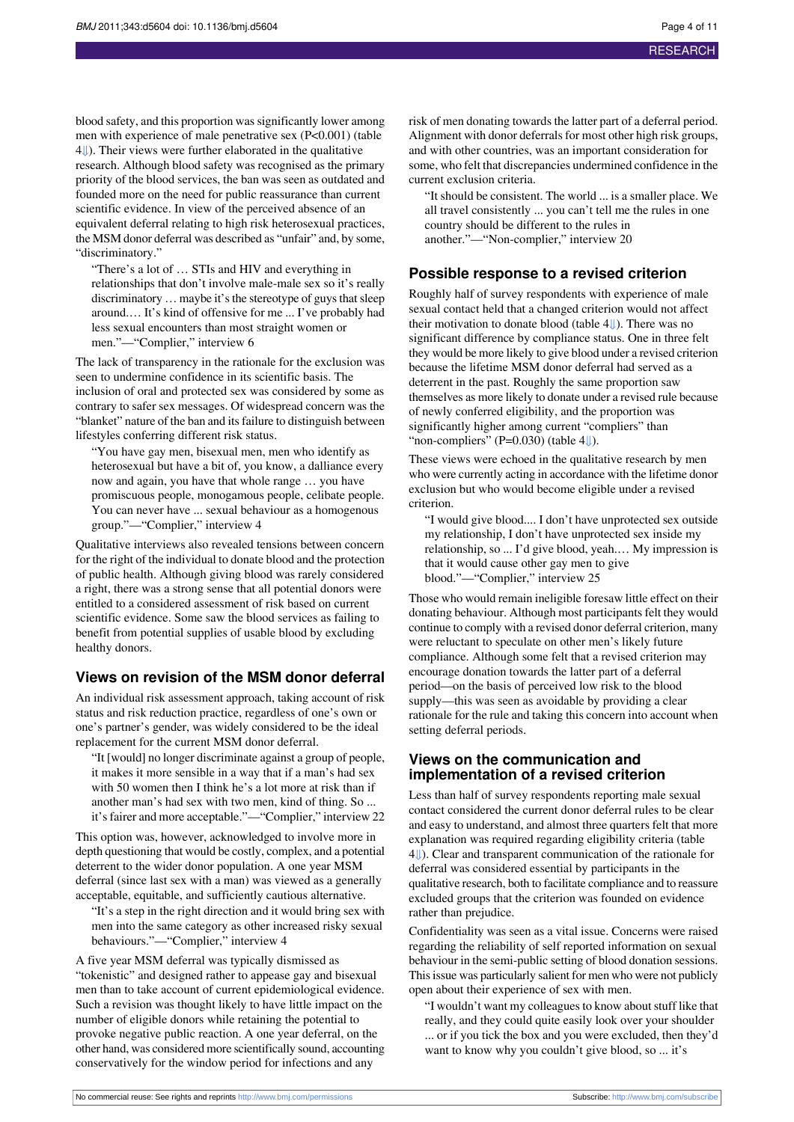blood safety, and this proportion was significantly lower among men with experience of male penetrative sex (P<0.001) (table [4⇓](#page-9-0)). Their views were further elaborated in the qualitative research. Although blood safety was recognised as the primary priority of the blood services, the ban was seen as outdated and founded more on the need for public reassurance than current scientific evidence. In view of the perceived absence of an equivalent deferral relating to high risk heterosexual practices, the MSM donor deferral was described as "unfair" and, by some, "discriminatory."

"There's a lot of … STIs and HIV and everything in relationships that don't involve male-male sex so it's really discriminatory ... maybe it's the stereotype of guys that sleep around.… It's kind of offensive for me ... I've probably had less sexual encounters than most straight women or men."—"Complier," interview 6

The lack of transparency in the rationale for the exclusion was seen to undermine confidence in its scientific basis. The inclusion of oral and protected sex was considered by some as contrary to safer sex messages. Of widespread concern was the "blanket" nature of the ban and its failure to distinguish between lifestyles conferring different risk status.

"You have gay men, bisexual men, men who identify as heterosexual but have a bit of, you know, a dalliance every now and again, you have that whole range … you have promiscuous people, monogamous people, celibate people. You can never have ... sexual behaviour as a homogenous group."—"Complier," interview 4

Qualitative interviews also revealed tensions between concern for the right of the individual to donate blood and the protection of public health. Although giving blood was rarely considered a right, there was a strong sense that all potential donors were entitled to a considered assessment of risk based on current scientific evidence. Some saw the blood services as failing to benefit from potential supplies of usable blood by excluding healthy donors.

### **Views on revision of the MSM donor deferral**

An individual risk assessment approach, taking account of risk status and risk reduction practice, regardless of one's own or one's partner's gender, was widely considered to be the ideal replacement for the current MSM donor deferral.

"It [would] no longer discriminate against a group of people, it makes it more sensible in a way that if a man's had sex with 50 women then I think he's a lot more at risk than if another man's had sex with two men, kind of thing. So ... it'sfairer and more acceptable."—"Complier," interview 22

This option was, however, acknowledged to involve more in depth questioning that would be costly, complex, and a potential deterrent to the wider donor population. A one year MSM deferral (since last sex with a man) was viewed as a generally acceptable, equitable, and sufficiently cautious alternative.

"It's a step in the right direction and it would bring sex with men into the same category as other increased risky sexual behaviours."—"Complier," interview 4

A five year MSM deferral was typically dismissed as "tokenistic" and designed rather to appease gay and bisexual men than to take account of current epidemiological evidence. Such a revision was thought likely to have little impact on the number of eligible donors while retaining the potential to provoke negative public reaction. A one year deferral, on the other hand, was considered more scientifically sound, accounting conservatively for the window period for infections and any

risk of men donating towards the latter part of a deferral period. Alignment with donor deferrals for most other high risk groups, and with other countries, was an important consideration for some, who felt that discrepancies undermined confidence in the current exclusion criteria.

"It should be consistent. The world ... is a smaller place. We all travel consistently ... you can't tell me the rules in one country should be different to the rules in another."—"Non-complier," interview 20

#### **Possible response to a revised criterion**

Roughly half of survey respondents with experience of male sexual contact held that a changed criterion would not affect their motivation to donate blood (table 4[⇓](#page-9-0)). There was no significant difference by compliance status. One in three felt they would be more likely to give blood under a revised criterion because the lifetime MSM donor deferral had served as a deterrent in the past. Roughly the same proportion saw themselves as more likely to donate under a revised rule because of newly conferred eligibility, and the proportion was significantly higher among current "compliers" than "non-compliers" (P=0.030) (table  $4\downarrow$ ).

These views were echoed in the qualitative research by men who were currently acting in accordance with the lifetime donor exclusion but who would become eligible under a revised criterion.

"I would give blood.... I don't have unprotected sex outside my relationship, I don't have unprotected sex inside my relationship, so ... I'd give blood, yeah.… My impression is that it would cause other gay men to give blood."—"Complier," interview 25

Those who would remain ineligible foresaw little effect on their donating behaviour. Although most participants felt they would continue to comply with a revised donor deferral criterion, many were reluctant to speculate on other men's likely future compliance. Although some felt that a revised criterion may encourage donation towards the latter part of a deferral period—on the basis of perceived low risk to the blood supply—this was seen as avoidable by providing a clear rationale for the rule and taking this concern into account when setting deferral periods.

#### **Views on the communication and implementation of a revised criterion**

Less than half of survey respondents reporting male sexual contact considered the current donor deferral rules to be clear and easy to understand, and almost three quarters felt that more explanation was required regarding eligibility criteria (table [4⇓](#page-9-0)). Clear and transparent communication of the rationale for deferral was considered essential by participants in the qualitative research, both to facilitate compliance and to reassure excluded groups that the criterion was founded on evidence rather than prejudice.

Confidentiality was seen as a vital issue. Concerns were raised regarding the reliability of self reported information on sexual behaviour in the semi-public setting of blood donation sessions. This issue was particularly salient for men who were not publicly open about their experience of sex with men.

"I wouldn't want my colleaguesto know aboutstuff like that really, and they could quite easily look over your shoulder ... or if you tick the box and you were excluded, then they'd want to know why you couldn't give blood, so ... it's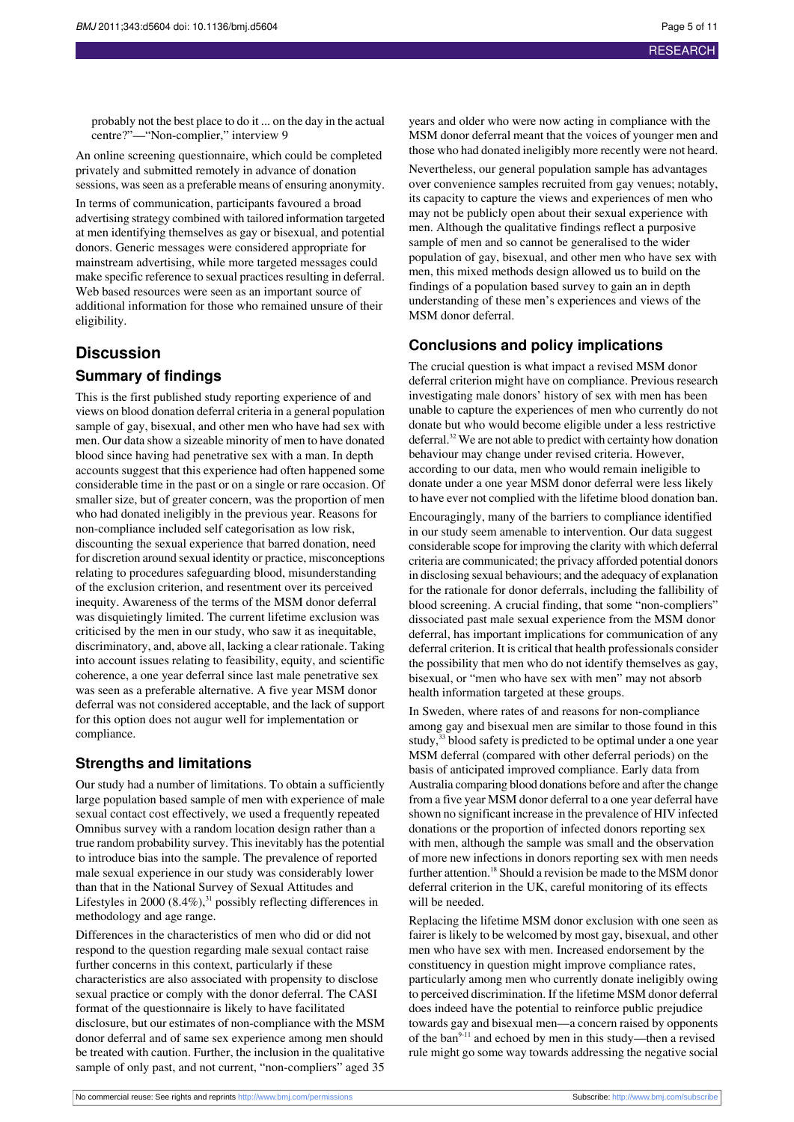probably not the best place to do it ... on the day in the actual centre?"—"Non-complier," interview 9

An online screening questionnaire, which could be completed privately and submitted remotely in advance of donation sessions, was seen as a preferable means of ensuring anonymity.

In terms of communication, participants favoured a broad advertising strategy combined with tailored information targeted at men identifying themselves as gay or bisexual, and potential donors. Generic messages were considered appropriate for mainstream advertising, while more targeted messages could make specific reference to sexual practices resulting in deferral. Web based resources were seen as an important source of additional information for those who remained unsure of their eligibility.

### **Discussion**

#### **Summary of findings**

This is the first published study reporting experience of and views on blood donation deferral criteria in a general population sample of gay, bisexual, and other men who have had sex with men. Our data show a sizeable minority of men to have donated blood since having had penetrative sex with a man. In depth accounts suggest that this experience had often happened some considerable time in the past or on a single or rare occasion. Of smaller size, but of greater concern, was the proportion of men who had donated ineligibly in the previous year. Reasons for non-compliance included self categorisation as low risk, discounting the sexual experience that barred donation, need for discretion around sexual identity or practice, misconceptions relating to procedures safeguarding blood, misunderstanding of the exclusion criterion, and resentment over its perceived inequity. Awareness of the terms of the MSM donor deferral was disquietingly limited. The current lifetime exclusion was criticised by the men in our study, who saw it as inequitable, discriminatory, and, above all, lacking a clear rationale. Taking into account issues relating to feasibility, equity, and scientific coherence, a one year deferral since last male penetrative sex was seen as a preferable alternative. A five year MSM donor deferral was not considered acceptable, and the lack of support for this option does not augur well for implementation or compliance.

#### **Strengths and limitations**

Our study had a number of limitations. To obtain a sufficiently large population based sample of men with experience of male sexual contact cost effectively, we used a frequently repeated Omnibus survey with a random location design rather than a true random probability survey. Thisinevitably hasthe potential to introduce bias into the sample. The prevalence of reported male sexual experience in our study was considerably lower than that in the National Survey of Sexual Attitudes and Lifestyles in 2000  $(8.4\%)$ ,<sup>31</sup> possibly reflecting differences in methodology and age range.

Differences in the characteristics of men who did or did not respond to the question regarding male sexual contact raise further concerns in this context, particularly if these characteristics are also associated with propensity to disclose sexual practice or comply with the donor deferral. The CASI format of the questionnaire is likely to have facilitated disclosure, but our estimates of non-compliance with the MSM donor deferral and of same sex experience among men should be treated with caution. Further, the inclusion in the qualitative sample of only past, and not current, "non-compliers" aged 35

years and older who were now acting in compliance with the MSM donor deferral meant that the voices of younger men and those who had donated ineligibly more recently were not heard.

Nevertheless, our general population sample has advantages over convenience samples recruited from gay venues; notably, its capacity to capture the views and experiences of men who may not be publicly open about their sexual experience with men. Although the qualitative findings reflect a purposive sample of men and so cannot be generalised to the wider population of gay, bisexual, and other men who have sex with men, this mixed methods design allowed us to build on the findings of a population based survey to gain an in depth understanding of these men's experiences and views of the MSM donor deferral.

#### **Conclusions and policy implications**

The crucial question is what impact a revised MSM donor deferral criterion might have on compliance. Previous research investigating male donors' history of sex with men has been unable to capture the experiences of men who currently do not donate but who would become eligible under a less restrictive deferral.<sup>32</sup> We are not able to predict with certainty how donation behaviour may change under revised criteria. However, according to our data, men who would remain ineligible to donate under a one year MSM donor deferral were less likely to have ever not complied with the lifetime blood donation ban.

Encouragingly, many of the barriers to compliance identified in our study seem amenable to intervention. Our data suggest considerable scope for improving the clarity with which deferral criteria are communicated; the privacy afforded potential donors in disclosing sexual behaviours; and the adequacy of explanation for the rationale for donor deferrals, including the fallibility of blood screening. A crucial finding, that some "non-compliers" dissociated past male sexual experience from the MSM donor deferral, has important implications for communication of any deferral criterion. It is critical that health professionals consider the possibility that men who do not identify themselves as gay, bisexual, or "men who have sex with men" may not absorb health information targeted at these groups.

In Sweden, where rates of and reasons for non-compliance among gay and bisexual men are similar to those found in this study,<sup>33</sup> blood safety is predicted to be optimal under a one year MSM deferral (compared with other deferral periods) on the basis of anticipated improved compliance. Early data from Australia comparing blood donations before and after the change from a five year MSM donor deferral to a one year deferral have shown no significant increase in the prevalence of HIV infected donations or the proportion of infected donors reporting sex with men, although the sample was small and the observation of more new infections in donors reporting sex with men needs further attention.<sup>18</sup> Should a revision be made to the MSM donor deferral criterion in the UK, careful monitoring of its effects will be needed.

Replacing the lifetime MSM donor exclusion with one seen as fairer is likely to be welcomed by most gay, bisexual, and other men who have sex with men. Increased endorsement by the constituency in question might improve compliance rates, particularly among men who currently donate ineligibly owing to perceived discrimination. If the lifetime MSM donor deferral does indeed have the potential to reinforce public prejudice towards gay and bisexual men—a concern raised by opponents of the ban $9-11$  and echoed by men in this study—then a revised rule might go some way towards addressing the negative social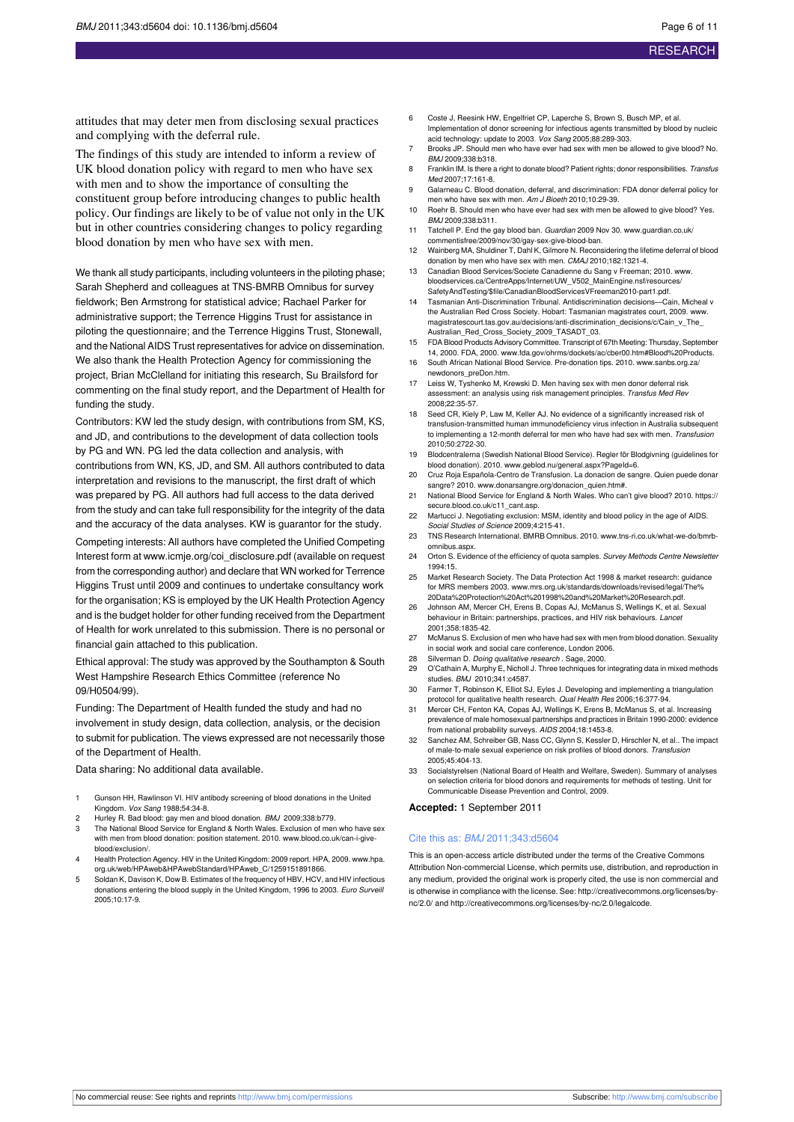attitudes that may deter men from disclosing sexual practices and complying with the deferral rule.

The findings of this study are intended to inform a review of UK blood donation policy with regard to men who have sex with men and to show the importance of consulting the constituent group before introducing changes to public health policy. Our findings are likely to be of value not only in the UK but in other countries considering changes to policy regarding blood donation by men who have sex with men.

We thank all study participants, including volunteers in the piloting phase: Sarah Shepherd and colleagues at TNS-BMRB Omnibus for survey fieldwork; Ben Armstrong for statistical advice; Rachael Parker for administrative support; the Terrence Higgins Trust for assistance in piloting the questionnaire; and the Terrence Higgins Trust, Stonewall, and the National AIDS Trust representatives for advice on dissemination. We also thank the Health Protection Agency for commissioning the project, Brian McClelland for initiating this research, Su Brailsford for commenting on the final study report, and the Department of Health for funding the study.

Contributors: KW led the study design, with contributions from SM, KS, and JD, and contributions to the development of data collection tools by PG and WN. PG led the data collection and analysis, with contributions from WN, KS, JD, and SM. All authors contributed to data interpretation and revisions to the manuscript, the first draft of which was prepared by PG. All authors had full access to the data derived from the study and can take full responsibility for the integrity of the data and the accuracy of the data analyses. KW is guarantor for the study. Competing interests: All authors have completed the Unified Competing Interest form at [www.icmje.org/coi\\_disclosure.pdf](http://www.icmje.org/coi_disclosure.pdf) (available on request from the corresponding author) and declare that WN worked for Terrence Higgins Trust until 2009 and continues to undertake consultancy work for the organisation; KS is employed by the UK Health Protection Agency and is the budget holder for other funding received from the Department of Health for work unrelated to this submission. There is no personal or financial gain attached to this publication.

Ethical approval: The study was approved by the Southampton & South West Hampshire Research Ethics Committee (reference No 09/H0504/99).

Funding: The Department of Health funded the study and had no involvement in study design, data collection, analysis, or the decision to submit for publication. The views expressed are not necessarily those of the Department of Health.

Data sharing: No additional data available.

- 1 Gunson HH, Rawlinson VI. HIV antibody screening of blood donations in the United Kingdom. Vox Sang 1988;54:34-8.
- 2 Hurley R. Bad blood: gay men and blood donation. BMJ 2009;338:b779.
- 3 The National Blood Service for England & North Wales. Exclusion of men who have sex with men from blood donation: position statement. 2010. [www.blood.co.uk/can-i-give](http://www.blood.co.uk/can-i-give-blood/exclusion/)[blood/exclusion/](http://www.blood.co.uk/can-i-give-blood/exclusion/).
- 4 Health Protection Agency. HIV in the United Kingdom: 2009 report. HPA, 2009. [www.hpa.](http://www.hpa.org.uk/web/HPAweb&HPAwebStandard/HPAweb_C/1259151891866) [org.uk/web/HPAweb&HPAwebStandard/HPAweb\\_C/1259151891866](http://www.hpa.org.uk/web/HPAweb&HPAwebStandard/HPAweb_C/1259151891866).
- Soldan K, Davison K, Dow B. Estimates of the frequency of HBV, HCV, and HIV infectious donations entering the blood supply in the United Kingdom, 1996 to 2003. Euro Surveil 2005;10:17-9.
- 6 Coste J, Reesink HW, Engelfriet CP, Laperche S, Brown S, Busch MP, et al. Implementation of donor screening for infectious agents transmitted by blood by nucleic
- acid technology: update to 2003. Vox Sang 2005;88:289-303. 7 Brooks JP. Should men who have ever had sex with men be allowed to give blood? No. BMJ 2009;338:b318.
- 8 Franklin IM. Is there a right to donate blood? Patient rights; donor responsibilities. Transfus Med 2007;17:161-8.
- 9 Galarneau C. Blood donation, deferral, and discrimination: FDA donor deferral policy for men who have sex with men. Am J Bioeth 2010;10:29-39.
- 10 Roehr B. Should men who have ever had sex with men be allowed to give blood? Yes. BMJ 2009;338:b311.
- 11 Tatchell P. End the gay blood ban. Guardian 2009 Nov 30, www.guardian.co.uk [commentisfree/2009/nov/30/gay-sex-give-blood-ban.](http://www.guardian.co.uk/commentisfree/2009/nov/30/gay-sex-give-blood-ban)
- 12 Wainberg MA, Shuldiner T, Dahl K, Gilmore N. Reconsidering the lifetime deferral of blood donation by men who have sex with men. CMAJ 2010;182:1321-4.
- 13 Canadian Blood Services/Societe Canadienne du Sang v Freeman; 2010. [www.](http://www.bloodservices.ca/CentreApps/Internet/UW_V502_MainEngine.nsf/resources/SafetyAndTesting/$file/CanadianBloodServicesVFreeman2010-part1.pdf) [bloodservices.ca/CentreApps/Internet/UW\\_V502\\_MainEngine.nsf/resources/](http://www.bloodservices.ca/CentreApps/Internet/UW_V502_MainEngine.nsf/resources/SafetyAndTesting/$file/CanadianBloodServicesVFreeman2010-part1.pdf) [SafetyAndTesting/\\$file/CanadianBloodServicesVFreeman2010-part1.pdf.](http://www.bloodservices.ca/CentreApps/Internet/UW_V502_MainEngine.nsf/resources/SafetyAndTesting/$file/CanadianBloodServicesVFreeman2010-part1.pdf)
- 14 Tasmanian Anti-Discrimination Tribunal. Antidiscrimination decisions—Cain, Micheal v the Australian Red Cross Society. Hobart: Tasmanian magistrates court, 2009. [www.](http://www.magistratescourt.tas.gov.au/decisions/anti-discrimination_decisions/c/Cain_v_The_Australian_Red_Cross_Society_2009_TASADT_03) [magistratescourt.tas.gov.au/decisions/anti-discrimination\\_decisions/c/Cain\\_v\\_The\\_](http://www.magistratescourt.tas.gov.au/decisions/anti-discrimination_decisions/c/Cain_v_The_Australian_Red_Cross_Society_2009_TASADT_03) [Australian\\_Red\\_Cross\\_Society\\_2009\\_TASADT\\_03.](http://www.magistratescourt.tas.gov.au/decisions/anti-discrimination_decisions/c/Cain_v_The_Australian_Red_Cross_Society_2009_TASADT_03)
- 15 FDA Blood Products Advisory Committee. Transcript of 67th Meeting: Thursday, September
- 14, 2000. FDA, 2000. [www.fda.gov/ohrms/dockets/ac/cber00.htm#Blood%20Products](http://www.fda.gov/ohrms/dockets/ac/cber00.htm#Blood%20Products). 16 South African National Blood Service. Pre-donation tips. 2010. [www.sanbs.org.za/](http://www.sanbs.org.za/newdonors_preDon.htm)
- [newdonors\\_preDon.htm.](http://www.sanbs.org.za/newdonors_preDon.htm)
- 17 Leiss W, Tyshenko M, Krewski D. Men having sex with men donor deferral risk assessment: an analysis using risk management principles. Transfus Med Rev 2008;22:35-57.
- 18 Seed CR, Kiely P, Law M, Keller AJ. No evidence of a significantly increased risk of transfusion-transmitted human immunodeficiency virus infection in Australia subsequent to implementing a 12-month deferral for men who have had sex with men. Transfusion 2010;50:2722-30.
- 19 Blodcentralerna (Swedish National Blood Service). Regler för Blodgivning (guidelines for blood donation). 2010. [www.geblod.nu/general.aspx?PageId=6.](http://www.geblod.nu/general.aspx?PageId=6)
- 20 Cruz Roja Española-Centro de Transfusion. La donacion de sangre. Quien puede donar sangre? 2010. [www.donarsangre.org/donacion\\_quien.htm#](http://www.donarsangre.org/donacion_quien.htm).
- 21 National Blood Service for England & North Wales. Who can't give blood? 2010. https:// secure.blood.co.uk/c11\_cant.asp.
- 22 Martucci J. Negotiating exclusion: MSM, identity and blood policy in the age of AIDS. Social Studies of Science 2009;4:215-41.
- 23 TNS Research International. BMRB Omnibus. 2010. [www.tns-ri.co.uk/what-we-do/bmrb](http://www.tns-ri.co.uk/what-we-do/bmrb-omnibus.aspx)[omnibus.aspx.](http://www.tns-ri.co.uk/what-we-do/bmrb-omnibus.aspx)
- 24 Orton S. Evidence of the efficiency of quota samples. Survey Methods Centre Newslette 1994:15.
- 25 Market Research Society. The Data Protection Act 1998 & market research: guidance for MRS members 2003. [www.mrs.org.uk/standards/downloads/revised/legal/The%](http://www.mrs.org.uk/standards/downloads/revised/legal/The%20Data%20Protection%20Act%201998%20and%20Market%20Research.pdf) [20Data%20Protection%20Act%201998%20and%20Market%20Research.pdf](http://www.mrs.org.uk/standards/downloads/revised/legal/The%20Data%20Protection%20Act%201998%20and%20Market%20Research.pdf).
- 26 Johnson AM, Mercer CH, Erens B, Copas AJ, McManus S, Wellings K, et al. Sexual behaviour in Britain: partnerships, practices, and HIV risk behaviours. Lancet 2001;358:1835-42.
- 27 McManus S. Exclusion of men who have had sex with men from blood donation. Sexuality in social work and social care conference, London 2006.
- 28 Silverman D. Doing qualitative research . Sage, 2000.<br>29 O'Cathain A. Murphy E. Nicholl J. Three techniques for
- O'Cathain A, Murphy E, Nicholl J. Three techniques for integrating data in mixed methods studies. BMJ 2010;341:c4587.
- 30 Farmer T, Robinson K, Elliot SJ, Eyles J. Developing and implementing a triangulation protocol for qualitative health research. Qual Health Res 2006;16:377-94.
- 31 Mercer CH, Fenton KA, Copas AJ, Wellings K, Erens B, McManus S, et al. Increasing prevalence of male homosexual partnerships and practices in Britain 1990-2000: evidence from national probability surveys. AIDS 2004;18:1453-8.
- Sanchez AM, Schreiber GB, Nass CC, Glynn S, Kessler D, Hirschler N, et al.. The impact of male-to-male sexual experience on risk profiles of blood donors. Transfusion 2005;45:404-13.
- 33 Socialstyrelsen (National Board of Health and Welfare, Sweden). Summary of analyses on selection criteria for blood donors and requirements for methods of testing. Unit for Communicable Disease Prevention and Control, 2009.

#### **Accepted:** 1 September 2011

#### Cite this as: BMJ 2011;343:d5604

This is an open-access article distributed under the terms of the Creative Commons Attribution Non-commercial License, which permits use, distribution, and reproduction in any medium, provided the original work is properly cited, the use is non commercial and is otherwise in compliance with the license. See: [http://creativecommons.org/licenses/by](http://creativecommons.org/licenses/by-nc/2.0/)[nc/2.0/](http://creativecommons.org/licenses/by-nc/2.0/) and <http://creativecommons.org/licenses/by-nc/2.0/legalcode>.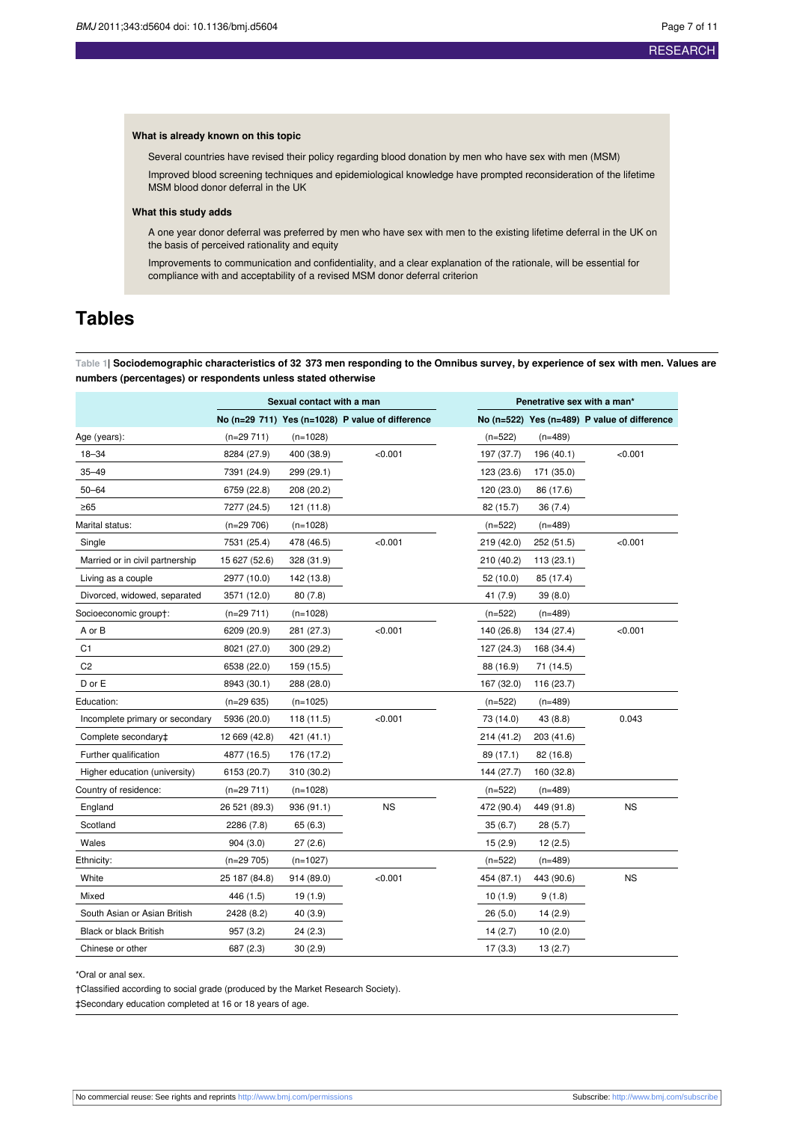#### **What is already known on this topic**

Several countries have revised their policy regarding blood donation by men who have sex with men (MSM)

Improved blood screening techniques and epidemiological knowledge have prompted reconsideration of the lifetime MSM blood donor deferral in the UK

#### **What this study adds**

A one year donor deferral was preferred by men who have sex with men to the existing lifetime deferral in the UK on the basis of perceived rationality and equity

Improvements to communication and confidentiality, and a clear explanation of the rationale, will be essential for compliance with and acceptability of a revised MSM donor deferral criterion

## <span id="page-6-0"></span>**Tables**

Table 1| Sociodemographic characteristics of 32 373 men responding to the Omnibus survey, by experience of sex with men. Values are **numbers (percentages) or respondents unless stated otherwise**

|                                 | Sexual contact with a man |            | Penetrative sex with a man*                      |            |            |                                              |
|---------------------------------|---------------------------|------------|--------------------------------------------------|------------|------------|----------------------------------------------|
|                                 |                           |            | No (n=29 711) Yes (n=1028) P value of difference |            |            | No (n=522) Yes (n=489) P value of difference |
| Age (years):                    | $(n=29711)$               | $(n=1028)$ |                                                  | $(n=522)$  | $(n=489)$  |                                              |
| $18 - 34$                       | 8284 (27.9)               | 400 (38.9) | < 0.001                                          | 197 (37.7) | 196 (40.1) | < 0.001                                      |
| $35 - 49$                       | 7391 (24.9)               | 299 (29.1) |                                                  | 123 (23.6) | 171 (35.0) |                                              |
| $50 - 64$                       | 6759 (22.8)               | 208 (20.2) |                                                  | 120 (23.0) | 86 (17.6)  |                                              |
| $\geq 65$                       | 7277 (24.5)               | 121 (11.8) |                                                  | 82 (15.7)  | 36 (7.4)   |                                              |
| Marital status:                 | $(n=29706)$               | $(n=1028)$ |                                                  | $(n=522)$  | $(n=489)$  |                                              |
| Single                          | 7531 (25.4)               | 478 (46.5) | < 0.001                                          | 219 (42.0) | 252 (51.5) | < 0.001                                      |
| Married or in civil partnership | 15 627 (52.6)             | 328 (31.9) |                                                  | 210 (40.2) | 113(23.1)  |                                              |
| Living as a couple              | 2977 (10.0)               | 142 (13.8) |                                                  | 52 (10.0)  | 85 (17.4)  |                                              |
| Divorced, widowed, separated    | 3571 (12.0)               | 80(7.8)    |                                                  | 41 (7.9)   | 39 (8.0)   |                                              |
| Socioeconomic group†:           | (n=29 711)                | $(n=1028)$ |                                                  | $(n=522)$  | (n=489)    |                                              |
| A or B                          | 6209 (20.9)               | 281 (27.3) | < 0.001                                          | 140 (26.8) | 134 (27.4) | < 0.001                                      |
| C1                              | 8021 (27.0)               | 300 (29.2) |                                                  | 127 (24.3) | 168 (34.4) |                                              |
| C <sub>2</sub>                  | 6538 (22.0)               | 159 (15.5) |                                                  | 88 (16.9)  | 71 (14.5)  |                                              |
| D or E                          | 8943 (30.1)               | 288 (28.0) |                                                  | 167 (32.0) | 116 (23.7) |                                              |
| Education:                      | $(n=29635)$               | $(n=1025)$ |                                                  | $(n=522)$  | $(n=489)$  |                                              |
| Incomplete primary or secondary | 5936 (20.0)               | 118 (11.5) | < 0.001                                          | 73 (14.0)  | 43 (8.8)   | 0.043                                        |
| Complete secondary‡             | 12 669 (42.8)             | 421 (41.1) |                                                  | 214 (41.2) | 203 (41.6) |                                              |
| Further qualification           | 4877 (16.5)               | 176 (17.2) |                                                  | 89 (17.1)  | 82 (16.8)  |                                              |
| Higher education (university)   | 6153 (20.7)               | 310 (30.2) |                                                  | 144 (27.7) | 160 (32.8) |                                              |
| Country of residence:           | $(n=29711)$               | $(n=1028)$ |                                                  | $(n=522)$  | $(n=489)$  |                                              |
| England                         | 26 521 (89.3)             | 936 (91.1) | <b>NS</b>                                        | 472 (90.4) | 449 (91.8) | <b>NS</b>                                    |
| Scotland                        | 2286 (7.8)                | 65 (6.3)   |                                                  | 35(6.7)    | 28 (5.7)   |                                              |
| Wales                           | 904(3.0)                  | 27(2.6)    |                                                  | 15(2.9)    | 12(2.5)    |                                              |
| Ethnicity:                      | $(n=29705)$               | $(n=1027)$ |                                                  | $(n=522)$  | $(n=489)$  |                                              |
| White                           | 25 187 (84.8)             | 914 (89.0) | < 0.001                                          | 454 (87.1) | 443 (90.6) | <b>NS</b>                                    |
| Mixed                           | 446 (1.5)                 | 19 (1.9)   |                                                  | 10(1.9)    | 9(1.8)     |                                              |
| South Asian or Asian British    | 2428 (8.2)                | 40 (3.9)   |                                                  | 26(5.0)    | 14 (2.9)   |                                              |
| <b>Black or black British</b>   | 957 (3.2)                 | 24 (2.3)   |                                                  | 14(2.7)    | 10(2.0)    |                                              |
| Chinese or other                | 687 (2.3)                 | 30(2.9)    |                                                  | 17(3.3)    | 13(2.7)    |                                              |

\*Oral or anal sex.

†Classified according to social grade (produced by the Market Research Society).

‡Secondary education completed at 16 or 18 years of age.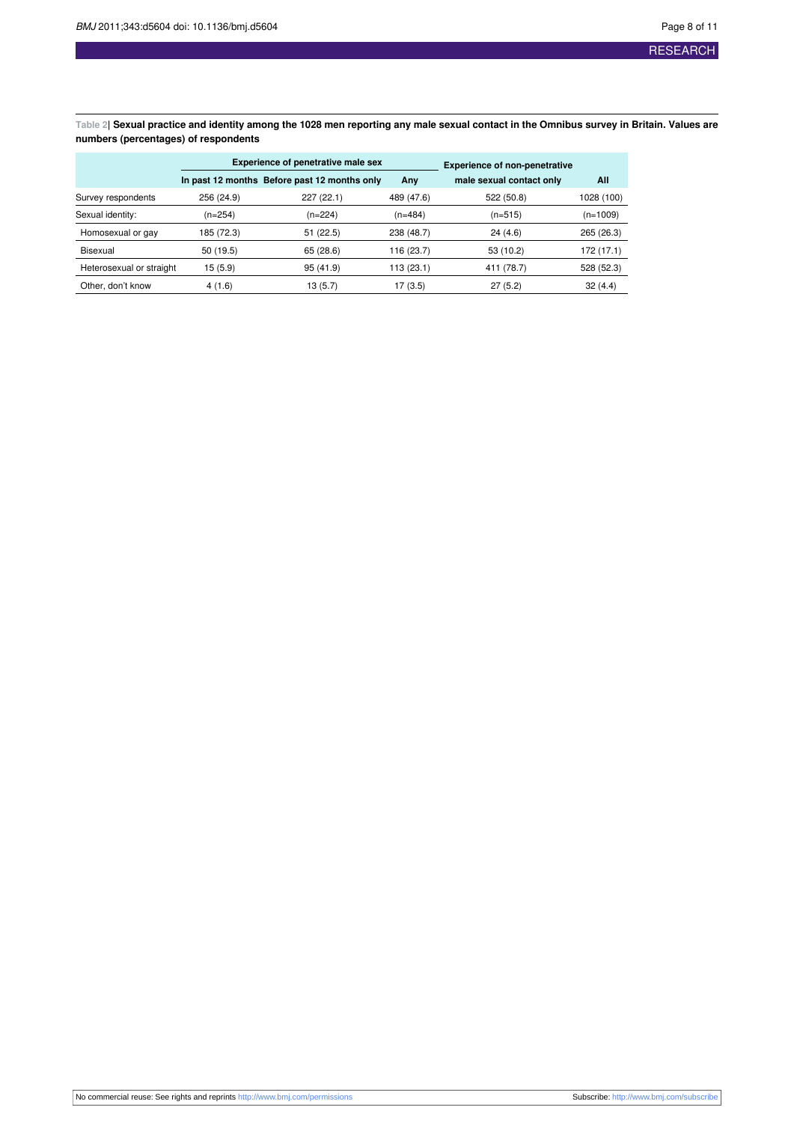<span id="page-7-0"></span>Table 2| Sexual practice and identity among the 1028 men reporting any male sexual contact in the Omnibus survey in Britain. Values are **numbers (percentages) of respondents**

|                          | <b>Experience of penetrative male sex</b> |                                              |            | <b>Experience of non-penetrative</b> |            |
|--------------------------|-------------------------------------------|----------------------------------------------|------------|--------------------------------------|------------|
|                          |                                           | In past 12 months Before past 12 months only | Any        | male sexual contact only             | All        |
| Survey respondents       | 256 (24.9)                                | 227 (22.1)                                   | 489 (47.6) | 522 (50.8)                           | 1028 (100) |
| Sexual identity:         | $(n=254)$                                 | $(n=224)$                                    | $(n=484)$  | $(n=515)$                            | $(n=1009)$ |
| Homosexual or gay        | 185 (72.3)                                | 51(22.5)                                     | 238 (48.7) | 24(4.6)                              | 265 (26.3) |
| Bisexual                 | 50 (19.5)                                 | 65(28.6)                                     | 116 (23.7) | 53 (10.2)                            | 172 (17.1) |
| Heterosexual or straight | 15 (5.9)                                  | 95(41.9)                                     | 113 (23.1) | 411 (78.7)                           | 528 (52.3) |
| Other, don't know        | 4(1.6)                                    | 13 (5.7)                                     | 17 (3.5)   | 27(5.2)                              | 32(4.4)    |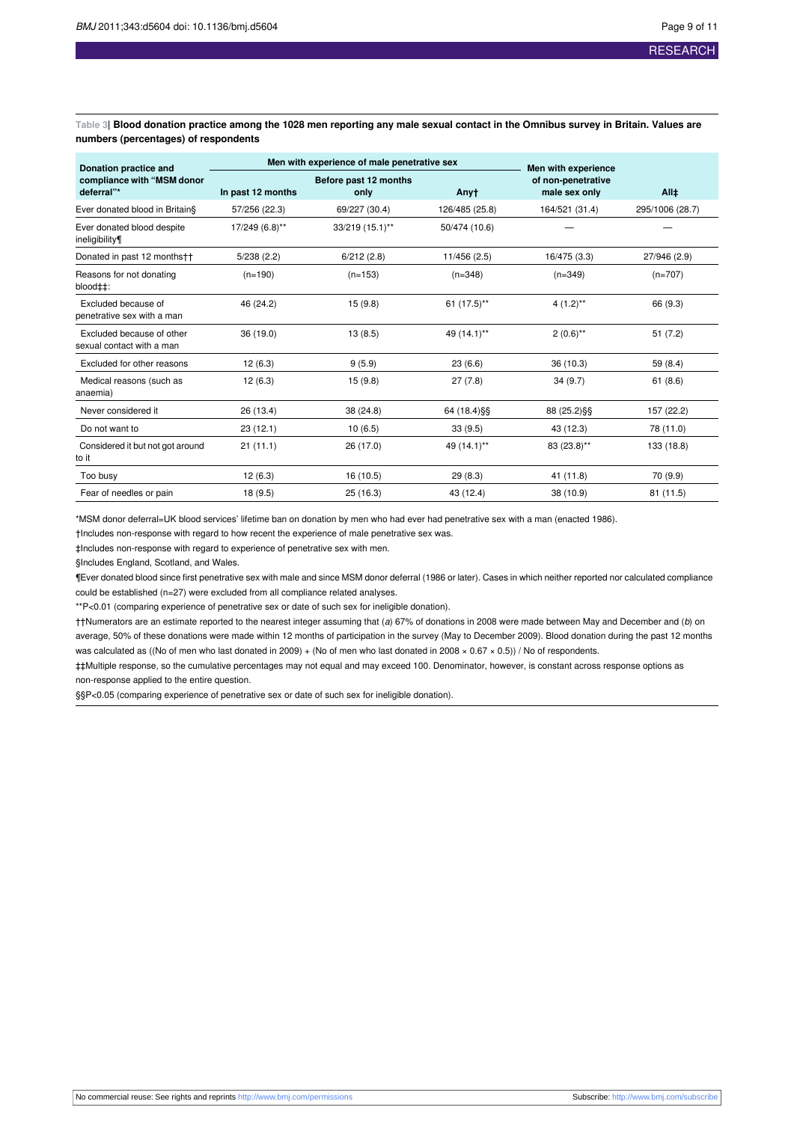<span id="page-8-0"></span>Table 3| Blood donation practice among the 1028 men reporting any male sexual contact in the Omnibus survey in Britain. Values are **numbers (percentages) of respondents**

| Donation practice and<br>compliance with "MSM donor<br>deferral"* |                   | Men with experience of male penetrative sex | Men with experience |                                     |                 |
|-------------------------------------------------------------------|-------------------|---------------------------------------------|---------------------|-------------------------------------|-----------------|
|                                                                   | In past 12 months | Before past 12 months<br>only               | Anyt                | of non-penetrative<br>male sex only | $All+$          |
| Ever donated blood in Britain§                                    | 57/256 (22.3)     | 69/227 (30.4)                               | 126/485 (25.8)      | 164/521 (31.4)                      | 295/1006 (28.7) |
| Ever donated blood despite<br>ineligibility                       | 17/249 (6.8)**    | 33/219 (15.1)**                             | 50/474 (10.6)       |                                     |                 |
| Donated in past 12 monthstt                                       | 5/238(2.2)        | 6/212(2.8)                                  | 11/456 (2.5)        | 16/475 (3.3)                        | 27/946 (2.9)    |
| Reasons for not donating<br>blood‡‡:                              | $(n=190)$         | $(n=153)$                                   | $(n=348)$           | $(n=349)$                           | $(n=707)$       |
| Excluded because of<br>penetrative sex with a man                 | 46 (24.2)         | 15(9.8)                                     | 61 (17.5)**         | $4(1.2)$ **                         | 66 (9.3)        |
| Excluded because of other<br>sexual contact with a man            | 36 (19.0)         | 13(8.5)                                     | 49 (14.1)**         | $2(0.6)$ **                         | 51(7.2)         |
| Excluded for other reasons                                        | 12(6.3)           | 9(5.9)                                      | 23(6.6)             | 36 (10.3)                           | 59 (8.4)        |
| Medical reasons (such as<br>anaemia)                              | 12(6.3)           | 15(9.8)                                     | 27(7.8)             | 34(9.7)                             | 61(8.6)         |
| Never considered it                                               | 26 (13.4)         | 38 (24.8)                                   | 64 (18.4) §§        | 88 (25.2) §§                        | 157 (22.2)      |
| Do not want to                                                    | 23 (12.1)         | 10(6.5)                                     | 33(9.5)             | 43 (12.3)                           | 78 (11.0)       |
| Considered it but not got around<br>to it                         | 21(11.1)          | 26 (17.0)                                   | 49 (14.1)**         | 83 (23.8)**                         | 133 (18.8)      |
| Too busy                                                          | 12(6.3)           | 16 (10.5)                                   | 29(8.3)             | 41 (11.8)                           | 70 (9.9)        |
| Fear of needles or pain                                           | 18(9.5)           | 25 (16.3)                                   | 43 (12.4)           | 38 (10.9)                           | 81 (11.5)       |

\*MSM donor deferral=UK blood services' lifetime ban on donation by men who had ever had penetrative sex with a man (enacted 1986).

†Includes non-response with regard to how recent the experience of male penetrative sex was.

‡Includes non-response with regard to experience of penetrative sex with men.

§Includes England, Scotland, and Wales.

¶Ever donated blood since first penetrative sex with male and since MSM donor deferral (1986 or later). Cases in which neither reported nor calculated compliance could be established (n=27) were excluded from all compliance related analyses.

\*\*P<0.01 (comparing experience of penetrative sex or date of such sex for ineligible donation).

††Numerators are an estimate reported to the nearest integer assuming that (a) 67% of donations in 2008 were made between May and December and (b) on average, 50% of these donations were made within 12 months of participation in the survey (May to December 2009). Blood donation during the past 12 months was calculated as ((No of men who last donated in 2009) + (No of men who last donated in 2008 × 0.67 × 0.5)) / No of respondents.

‡‡Multiple response, so the cumulative percentages may not equal and may exceed 100. Denominator, however, is constant across response options as non-response applied to the entire question.

§§P<0.05 (comparing experience of penetrative sex or date of such sex for ineligible donation).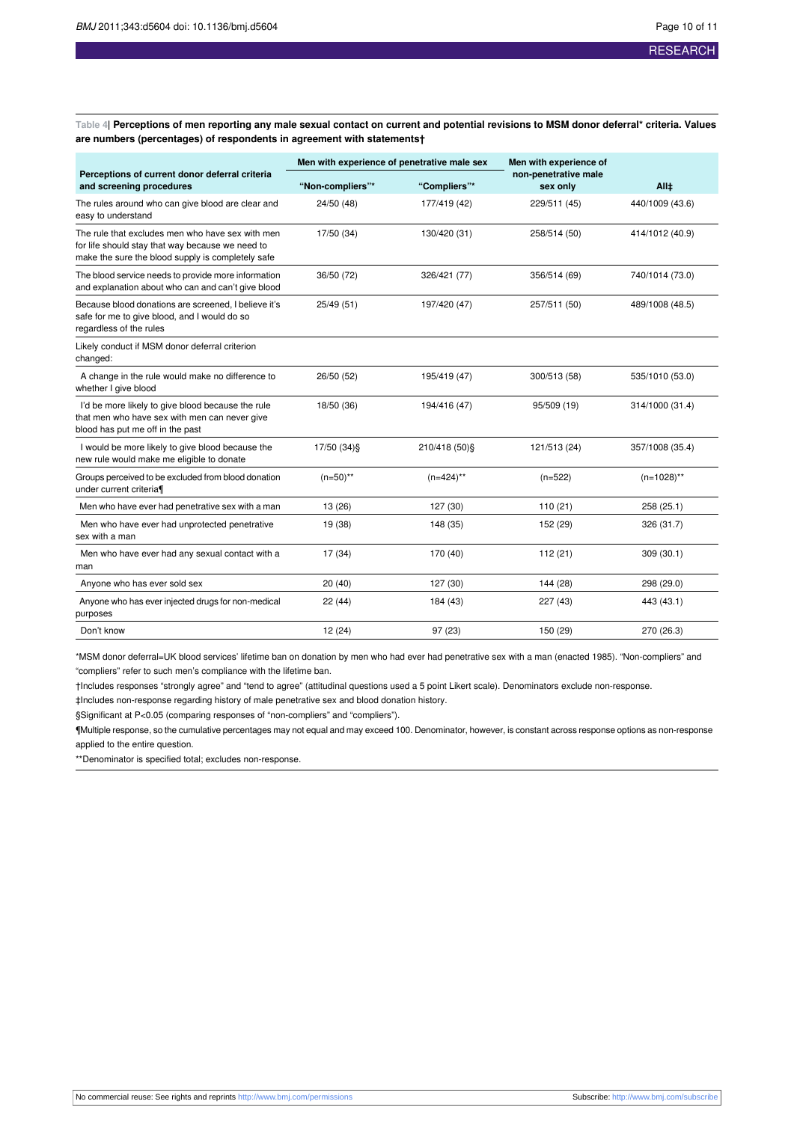<span id="page-9-0"></span>Table 4| Perceptions of men reporting any male sexual contact on current and potential revisions to MSM donor deferral\* criteria. Values **are numbers (percentages) of respondents in agreement with statements†**

|                                                                                                                                                           | Men with experience of penetrative male sex |                | Men with experience of           |                 |
|-----------------------------------------------------------------------------------------------------------------------------------------------------------|---------------------------------------------|----------------|----------------------------------|-----------------|
| Perceptions of current donor deferral criteria<br>and screening procedures                                                                                | "Non-compliers"*                            | "Compliers"*   | non-penetrative male<br>sex only | All±            |
| The rules around who can give blood are clear and<br>easy to understand                                                                                   | 24/50 (48)                                  | 177/419 (42)   | 229/511 (45)                     | 440/1009 (43.6) |
| The rule that excludes men who have sex with men<br>for life should stay that way because we need to<br>make the sure the blood supply is completely safe | 17/50 (34)                                  | 130/420 (31)   | 258/514 (50)                     | 414/1012 (40.9) |
| The blood service needs to provide more information<br>and explanation about who can and can't give blood                                                 | 36/50 (72)                                  | 326/421 (77)   | 356/514 (69)                     | 740/1014 (73.0) |
| Because blood donations are screened. I believe it's<br>safe for me to give blood, and I would do so<br>regardless of the rules                           | 25/49 (51)                                  | 197/420 (47)   | 257/511 (50)                     | 489/1008 (48.5) |
| Likely conduct if MSM donor deferral criterion<br>changed:                                                                                                |                                             |                |                                  |                 |
| A change in the rule would make no difference to<br>whether I give blood                                                                                  | 26/50 (52)                                  | 195/419 (47)   | 300/513 (58)                     | 535/1010 (53.0) |
| I'd be more likely to give blood because the rule<br>that men who have sex with men can never give<br>blood has put me off in the past                    | 18/50 (36)                                  | 194/416 (47)   | 95/509 (19)                      | 314/1000 (31.4) |
| I would be more likely to give blood because the<br>new rule would make me eligible to donate                                                             | 17/50 (34) §                                | 210/418 (50) § | 121/513 (24)                     | 357/1008 (35.4) |
| Groups perceived to be excluded from blood donation<br>under current criteria¶                                                                            | $(n=50)$ **                                 | $(n=424)$ **   | $(n=522)$                        | $(n=1028)$ **   |
| Men who have ever had penetrative sex with a man                                                                                                          | 13 (26)                                     | 127 (30)       | 110(21)                          | 258 (25.1)      |
| Men who have ever had unprotected penetrative<br>sex with a man                                                                                           | 19 (38)                                     | 148 (35)       | 152 (29)                         | 326 (31.7)      |
| Men who have ever had any sexual contact with a<br>man                                                                                                    | 17 (34)                                     | 170 (40)       | 112 (21)                         | 309 (30.1)      |
| Anyone who has ever sold sex                                                                                                                              | 20(40)                                      | 127 (30)       | 144 (28)                         | 298 (29.0)      |
| Anyone who has ever injected drugs for non-medical<br>purposes                                                                                            | 22(44)                                      | 184 (43)       | 227 (43)                         | 443 (43.1)      |
| Don't know                                                                                                                                                | 12(24)                                      | 97 (23)        | 150 (29)                         | 270 (26.3)      |

\*MSM donor deferral=UK blood services' lifetime ban on donation by men who had ever had penetrative sex with a man (enacted 1985). "Non-compliers" and "compliers" refer to such men's compliance with the lifetime ban.

†Includes responses "strongly agree" and "tend to agree" (attitudinal questions used a 5 point Likert scale). Denominators exclude non-response.

‡Includes non-response regarding history of male penetrative sex and blood donation history.

§Significant at P<0.05 (comparing responses of "non-compliers" and "compliers").

¶Multiple response, so the cumulative percentages may not equal and may exceed 100. Denominator, however, is constant across response options as non-response applied to the entire question.

\*\*Denominator is specified total; excludes non-response.